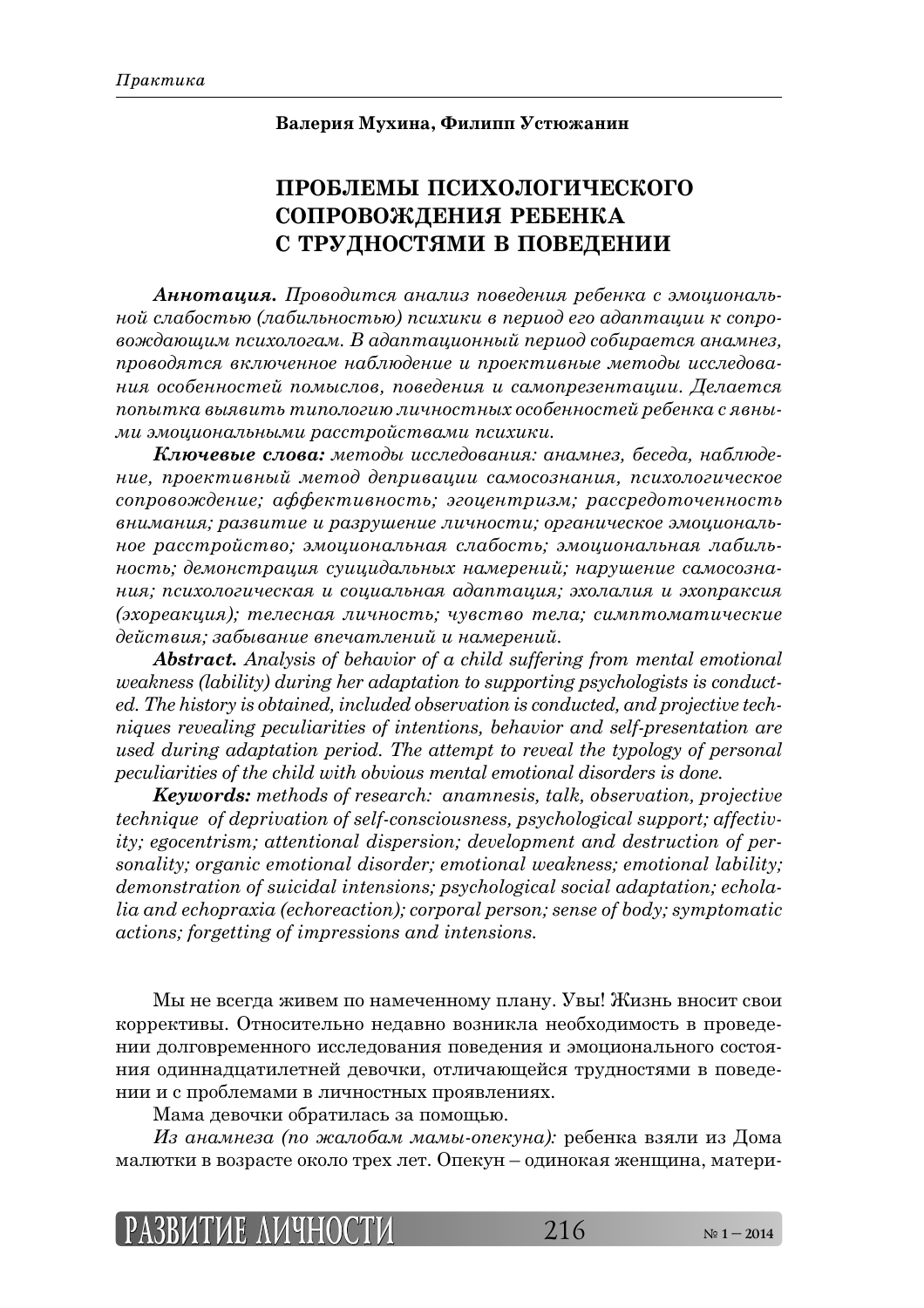## **Валерия Мухина, Филипп Устюжанин**

## **ПРОБЛЕМЫ ПСИХОЛОГИЧЕСКОГО СОПРОВОЖДЕНИЯ РЕБЕНКА С ТРУДНОСТЯМИ В ПОВЕДЕНИИ**

**Аннотация.** Проводится анализ поведения ребенка с эмоциональ- $\mu$ юй слабостью (лабильностью) психики в период его адаптации к сопро-*ȐȜȔȒȎȬȧȖȚ ȝȟȖȣȜșȜȑȎȚ. ǰ ȎȒȎȝȠȎȤȖȜțțȩȗ ȝȓȞȖȜȒ ȟȜȏȖȞȎȓȠȟȭ ȎțȎȚțȓȕ,*   $np$ оводятся включенное наблюдение и проективные методы исследова- $\mu$ ил особенностей помыслов, поведения и самопрезентации. Делается *ȝȜȝȩȠȘȎ ȐȩȭȐȖȠȪ ȠȖȝȜșȜȑȖȬ șȖȥțȜȟȠțȩȣ ȜȟȜȏȓțțȜȟȠȓȗ ȞȓȏȓțȘȎ ȟ ȭȐțȩ-* $\overline{M}$ и эмоциональными расстройствами психики.

 $K$ лючевые слова: методы исследования: анамнез, беседа, наблюде- $\mu$ ние, проективный метод депривации самосознания, психологическое  $\alpha$ сопровождение; аффективность; эгоцентризм; рассредоточенность *ȐțȖȚȎțȖȭ; ȞȎȕȐȖȠȖȓ Ȗ ȞȎȕȞȡȦȓțȖȓ șȖȥțȜȟȠȖ; ȜȞȑȎțȖȥȓȟȘȜȓ ȫȚȜȤȖȜțȎșȪ-* $\mu$  $\alpha$  расстройство; эмоциональная слабость; эмоциональная лабиль- $\mu$ юсть; демонстрация суицидальных намерений; нарушение самосозна- $\mu$ ила; психологическая и социальная адаптация; эхолалия и эхопраксия *(ȫȣȜȞȓȎȘȤȖȭ); ȠȓșȓȟțȎȭ șȖȥțȜȟȠȪ; ȥȡȐȟȠȐȜ ȠȓșȎ; ȟȖȚȝȠȜȚȎȠȖȥȓȟȘȖȓ*  $\partial$ ействия; забывание впечатлений и намерений.

*Abstract. Analysis of behavior of a child suffering from mental emotional weakness (lability) during her adaptation to supporting psychologists is conducted. The history is obtained, included observation is conducted, and projective techniques revealing peculiarities of intentions, behavior and self-presentation are used during adaptation period. The attempt to reveal the typology of personal peculiarities of the child with obvious mental emotional disorders is done.* 

*Keywords: methods of research: anamnesis, talk, observation, projective technique of deprivation of self-consciousness, psychological support; affectivity; egocentrism; attentional dispersion; development and destruction of personality; organic emotional disorder; emotional weakness; emotional lability; demonstration of suicidal intensions; psychological social adaptation; echolalia and echopraxia (echoreaction); corporal person; sense of body; symptomatic actions; forgetting of impressions and intensions.* 

Мы не всегда живем по намеченному плану. Увы! Жизнь вносит свои коррективы. Относительно недавно возникла необходимость в проведении долговременного исследования поведения и эмоционального состояния одиннадцатилетней девочки, отличающейся трудностями в поведении и с проблемами в личностных проявлениях.

Мама девочки обратилась за помощью.

 $\dot{M}$ з анамнеза (по жалобам мамы-опекуна): ребенка взяли из Дома малютки в возрасте около трех лет. Опекун – одинокая женщина, матери-

$$
[PASBUTME \; \Delta MHHOCTM \qquad \qquad 216 \qquad \qquad \text{N}^{\circ}1-2014
$$